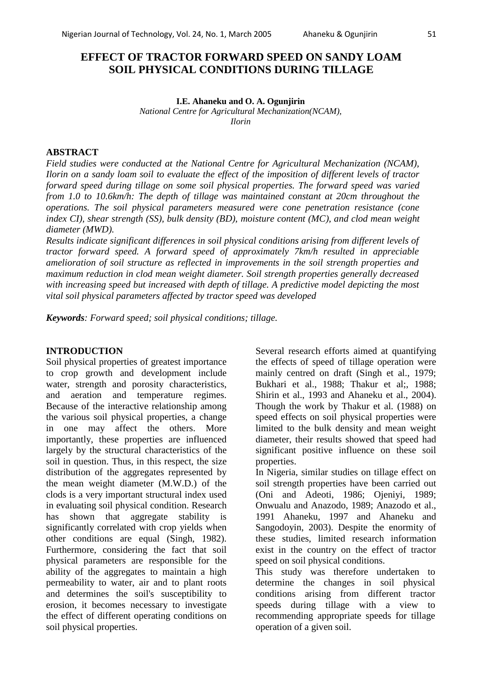# **EFFECT OF TRACTOR FORWARD SPEED ON SANDY LOAM SOIL PHYSICAL CONDITIONS DURING TILLAGE**

#### **I.E. Ahaneku and O. A. Ogunjirin** *National Centre for Agricultural Mechanization(NCAM),*

*Ilorin*

### **ABSTRACT**

*Field studies were conducted at the National Centre for Agricultural Mechanization (NCAM), Ilorin on a sandy loam soil to evaluate the effect of the imposition of different levels of tractor forward speed during tillage on some soil physical properties. The forward speed was varied from 1.0 to 10.6km/h: The depth of tillage was maintained constant at 20cm throughout the operations. The soil physical parameters measured were cone penetration resistance (cone index CI), shear strength (SS), bulk density (BD), moisture content (MC), and clod mean weight diameter (MWD).* 

*Results indicate significant differences in soil physical conditions arising from different levels of tractor forward speed. A forward speed of approximately 7km/h resulted in appreciable amelioration of soil structure as reflected in improvements in the soil strength properties and maximum reduction in clod mean weight diameter. Soil strength properties generally decreased with increasing speed but increased with depth of tillage. A predictive model depicting the most vital soil physical parameters affected by tractor speed was developed* 

*Keywords: Forward speed; soil physical conditions; tillage.* 

#### **INTRODUCTION**

Soil physical properties of greatest importance to crop growth and development include water, strength and porosity characteristics, and aeration and temperature regimes. Because of the interactive relationship among the various soil physical properties, a change in one may affect the others. More importantly, these properties are influenced largely by the structural characteristics of the soil in question. Thus, in this respect, the size distribution of the aggregates represented by the mean weight diameter (M.W.D.) of the clods is a very important structural index used in evaluating soil physical condition. Research has shown that aggregate stability is significantly correlated with crop yields when other conditions are equal (Singh, 1982). Furthermore, considering the fact that soil physical parameters are responsible for the ability of the aggregates to maintain a high permeability to water, air and to plant roots and determines the soil's susceptibility to erosion, it becomes necessary to investigate the effect of different operating conditions on soil physical properties.

Several research efforts aimed at quantifying the effects of speed of tillage operation were mainly centred on draft (Singh et al., 1979; Bukhari et al., 1988; Thakur et al;, 1988; Shirin et al., 1993 and Ahaneku et al., 2004). Though the work by Thakur et al. (1988) on speed effects on soil physical properties were limited to the bulk density and mean weight diameter, their results showed that speed had significant positive influence on these soil properties.

In Nigeria, similar studies on tillage effect on soil strength properties have been carried out (Oni and Adeoti, 1986; Ojeniyi, 1989; Onwualu and Anazodo, 1989; Anazodo et al., 1991 Ahaneku, 1997 and Ahaneku and Sangodoyin, 2003). Despite the enormity of these studies, limited research information exist in the country on the effect of tractor speed on soil physical conditions.

This study was therefore undertaken to determine the changes in soil physical conditions arising from different tractor speeds during tillage with a view to recommending appropriate speeds for tillage operation of a given soil.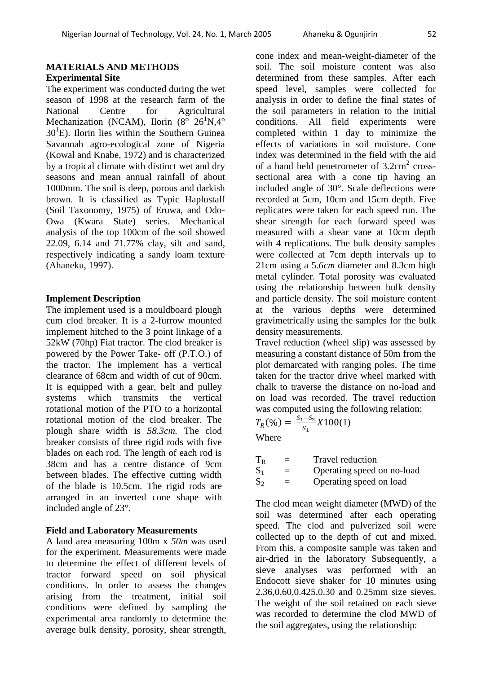## **MATERIALS AND METHODS Experimental Site**

The experiment was conducted during the wet season of 1998 at the research farm of the National Centre for Agricultural Mechanization (NCAM), Ilorin ( $8^\circ$   $26^1$ N,4 $\circ$  $30<sup>1</sup>E$ ). Ilorin lies within the Southern Guinea Savannah agro-ecological zone of Nigeria (Kowal and Knabe, 1972) and is characterized by a tropical climate with distinct wet and dry seasons and mean annual rainfall of about 1000mm. The soil is deep, porous and darkish brown. It is classified as Typic Haplustalf (Soil Taxonomy, 1975) of Eruwa, and Odo-Owa (Kwara State) series. Mechanical analysis of the top 100cm of the soil showed 22.09, 6.14 and 71.77% clay, silt and sand, respectively indicating a sandy loam texture (Ahaneku, 1997).

# **Implement Description**

The implement used is a mouldboard plough cum clod breaker. It is a 2-furrow mounted implement hitched to the 3 point linkage of a 52kW (70hp) Fiat tractor. The clod breaker is powered by the Power Take- off (P.T.O.) of the tractor. The implement has a vertical clearance of 68cm and width of cut of 90cm. It is equipped with a gear, belt and pulley systems which transmits the vertical rotational motion of the PTO to a horizontal rotational motion of the clod breaker. The plough share width is *58.3cm.* The clod breaker consists of three rigid rods with five blades on each rod. The length of each rod is 38cm and has a centre distance of 9cm between blades. The effective cutting width of the blade is 10.5cm*.* The rigid rods are arranged in an inverted cone shape with included angle of 23°.

## **Field and Laboratory Measurements**

A land area measuring 100m x *50m* was used for the experiment. Measurements were made to determine the effect of different levels of tractor forward speed on soil physical conditions. In order to assess the changes arising from the treatment, initial soil conditions were defined by sampling the experimental area randomly to determine the average bulk density, porosity, shear strength,

cone index and mean-weight-diameter of the soil. The soil moisture content was also determined from these samples. After each speed level, samples were collected for analysis in order to define the final states of the soil parameters in relation to the initial conditions. All field experiments were completed within 1 day to minimize the effects of variations in soil moisture. Cone index was determined in the field with the aid of a hand held penetrometer of  $3.2 \text{cm}^2$  crosssectional area with a cone tip having an included angle of 30°. Scale deflections were recorded at 5cm*,* 10cm and 15cm depth. Five replicates were taken for each speed run. The shear strength for each forward speed was measured with a shear vane at 10cm depth with 4 replications. The bulk density samples were collected at 7cm depth intervals up to 21cm using a 5*.6cm* diameter and 8.3cm high metal cylinder. Total porosity was evaluated using the relationship between bulk density and particle density. The soil moisture content at the various depths were determined gravimetrically using the samples for the bulk density measurements.

Travel reduction (wheel slip) was assessed by measuring a constant distance of 50m from the plot demarcated with ranging poles. The time taken for the tractor drive wheel marked with chalk to traverse the distance on no-load and on load was recorded. The travel reduction was computed using the following relation:

$$
T_R(\%) = \frac{S_1 - S_2}{S_1} X 100(1)
$$
  
Where

| $\rm T_R$      | $\equiv$ | Travel reduction           |
|----------------|----------|----------------------------|
| $\mathrm{S}_1$ | $\equiv$ | Operating speed on no-load |

 $S_2$  = Operating speed on load

The clod mean weight diameter (MWD) of the soil was determined after each operating speed. The clod and pulverized soil were collected up to the depth of cut and mixed. From this, a composite sample was taken and air-dried in the laboratory Subsequently, a sieve analyses was performed with an Endocott sieve shaker for 10 minutes using 2.36,0.60,0.425,0.30 and 0.25mm size sieves. The weight of the soil retained on each sieve was recorded to determine the clod MWD of the soil aggregates, using the relationship: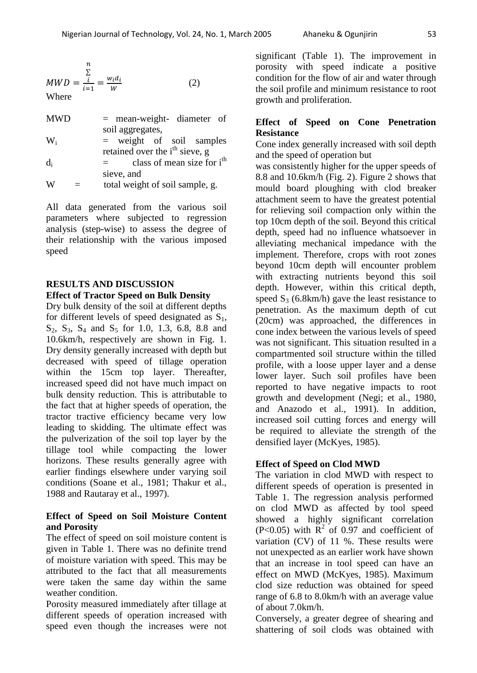$$
MWD = \frac{\sum\limits_{i=1}^{n} \frac{w_i d_i}{w}}{(2)}
$$

| <b>MWD</b> | $=$ mean-weight- diameter of               |
|------------|--------------------------------------------|
|            | soil aggregates,                           |
| $W_i$      | $=$ weight of soil samples                 |
|            | retained over the i <sup>th</sup> sieve, g |
| $d_i$      | class of mean size for $ith$               |
|            | sieve, and                                 |
| W          | total weight of soil sample, g.            |

All data generated from the various soil parameters where subjected to regression analysis (step-wise) to assess the degree of their relationship with the various imposed speed

#### **RESULTS AND DISCUSSION Effect of Tractor Speed on Bulk Density**

Dry bulk density of the soil at different depths for different levels of speed designated as  $S_1$ ,  $S_2$ ,  $S_3$ ,  $S_4$  and  $S_5$  for 1.0, 1.3, 6.8, 8.8 and 10.6km/h, respectively are shown in Fig. 1. Dry density generally increased with depth but decreased with speed of tillage operation within the 15cm top layer. Thereafter, increased speed did not have much impact on bulk density reduction. This is attributable to the fact that at higher speeds of operation, the tractor tractive efficiency became very low leading to skidding. The ultimate effect was the pulverization of the soil top layer by the tillage tool while compacting the lower horizons. These results generally agree with earlier findings elsewhere under varying soil conditions (Soane et al., 1981; Thakur et al., 1988 and Rautaray et al., 1997).

# **Effect of Speed on Soil Moisture Content and Porosity**

The effect of speed on soil moisture content is given in Table 1. There was no definite trend of moisture variation with speed. This may be attributed to the fact that all measurements were taken the same day within the same weather condition.

Porosity measured immediately after tillage at different speeds of operation increased with speed even though the increases were not

significant (Table 1). The improvement in porosity with speed indicate a positive condition for the flow of air and water through the soil profile and minimum resistance to root growth and proliferation.

## **Effect of Speed on Cone Penetration Resistance**

Cone index generally increased with soil depth and the speed of operation but

was consistently higher for the upper speeds of 8.8 and 10.6km/h (Fig. 2). Figure 2 shows that mould board ploughing with clod breaker attachment seem to have the greatest potential for relieving soil compaction only within the top 10cm depth of the soil. Beyond this critical depth, speed had no influence whatsoever in alleviating mechanical impedance with the implement. Therefore, crops with root zones beyond 10cm depth will encounter problem with extracting nutrients beyond this soil depth. However, within this critical depth, speed  $S_3$  (6.8km/h) gave the least resistance to penetration. As the maximum depth of cut (20cm) was approached, the differences in cone index between the various levels of speed was not significant. This situation resulted in a compartmented soil structure within the tilled profile, with a loose upper layer and a dense lower layer. Such soil profiles have been reported to have negative impacts to root growth and development (Negi; et al., 1980, and Anazodo et al., 1991). In addition, increased soil cutting forces and energy will be required to alleviate the strength of the densified layer (McKyes, 1985).

# **Effect of Speed on Clod MWD**

The variation in clod MWD with respect to different speeds of operation is presented in Table 1. The regression analysis performed on clod MWD as affected by tool speed showed a highly significant correlation  $(P<0.05)$  with  $\mathbb{R}^2$  of 0.97 and coefficient of variation (CV) of 11 %. These results were not unexpected as an earlier work have shown that an increase in tool speed can have an effect on MWD (McKyes, 1985). Maximum clod size reduction was obtained for speed range of 6.8 to 8.0km/h with an average value of about 7.0km/h.

Conversely, a greater degree of shearing and shattering of soil clods was obtained with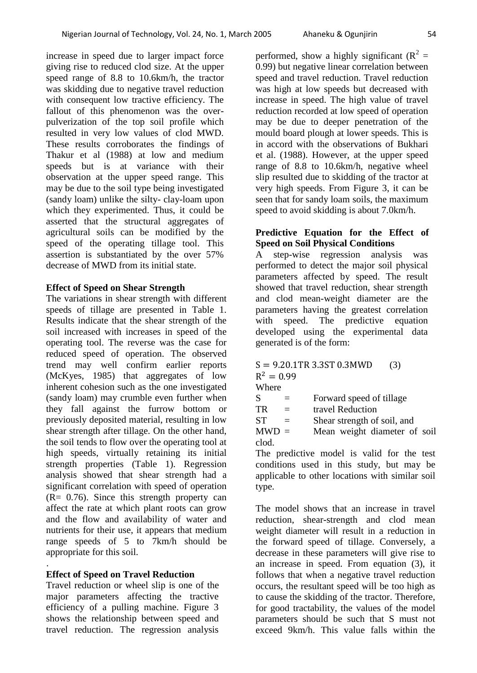increase in speed due to larger impact force giving rise to reduced clod size. At the upper speed range of 8.8 to 10.6km/h, the tractor was skidding due to negative travel reduction with consequent low tractive efficiency. The fallout of this phenomenon was the overpulverization of the top soil profile which resulted in very low values of clod MWD. These results corroborates the findings of Thakur et al (1988) at low and medium speeds but is at variance with their observation at the upper speed range. This may be due to the soil type being investigated (sandy loam) unlike the silty- clay-loam upon which they experimented. Thus, it could be asserted that the structural aggregates of agricultural soils can be modified by the speed of the operating tillage tool. This assertion is substantiated by the over 57% decrease of MWD from its initial state.

#### **Effect of Speed on Shear Strength**

The variations in shear strength with different speeds of tillage are presented in Table 1. Results indicate that the shear strength of the soil increased with increases in speed of the operating tool. The reverse was the case for reduced speed of operation. The observed trend may well confirm earlier reports (McKyes, 1985) that aggregates of low inherent cohesion such as the one investigated (sandy loam) may crumble even further when they fall against the furrow bottom or previously deposited material, resulting in low shear strength after tillage. On the other hand, the soil tends to flow over the operating tool at high speeds, virtually retaining its initial strength properties (Table 1). Regression analysis showed that shear strength had a significant correlation with speed of operation  $(R = 0.76)$ . Since this strength property can affect the rate at which plant roots can grow and the flow and availability of water and nutrients for their use, it appears that medium range speeds of 5 to 7km/h should be appropriate for this soil.

## **Effect of Speed on Travel Reduction**

.

Travel reduction or wheel slip is one of the major parameters affecting the tractive efficiency of a pulling machine. Figure 3 shows the relationship between speed and travel reduction. The regression analysis

performed, show a highly significant ( $R^2$  = 0.99) but negative linear correlation between speed and travel reduction. Travel reduction was high at low speeds but decreased with increase in speed. The high value of travel reduction recorded at low speed of operation may be due to deeper penetration of the mould board plough at lower speeds. This is in accord with the observations of Bukhari et al. (1988). However, at the upper speed range of 8.8 to 10.6km/h, negative wheel slip resulted due to skidding of the tractor at very high speeds. From Figure 3, it can be seen that for sandy loam soils, the maximum speed to avoid skidding is about 7.0km/h.

### **Predictive Equation for the Effect of Speed on Soil Physical Conditions**

A step-wise regression analysis was performed to detect the major soil physical parameters affected by speed. The result showed that travel reduction, shear strength and clod mean-weight diameter are the parameters having the greatest correlation with speed. The predictive equation developed using the experimental data generated is of the form:

#### $S = 9.20.1$ TR 3.3ST 0.3MWD (3)  $R^2$ Where

| $\mathbf{v}$ in the $\mathbf{v}$ |          |                              |  |  |  |  |
|----------------------------------|----------|------------------------------|--|--|--|--|
| S                                |          | Forward speed of tillage     |  |  |  |  |
| TR                               | $\equiv$ | travel Reduction             |  |  |  |  |
| SТ                               |          | Shear strength of soil, and  |  |  |  |  |
| $MWD =$                          |          | Mean weight diameter of soil |  |  |  |  |
| clod.                            |          |                              |  |  |  |  |
| $\sim$                           | . .      | $\blacksquare$               |  |  |  |  |

The predictive model is valid for the test conditions used in this study, but may be applicable to other locations with similar soil type.

The model shows that an increase in travel reduction, shear-strength and clod mean weight diameter will result in a reduction in the forward speed of tillage. Conversely, a decrease in these parameters will give rise to an increase in speed. From equation (3), it follows that when a negative travel reduction occurs, the resultant speed will be too high as to cause the skidding of the tractor. Therefore, for good tractability, the values of the model parameters should be such that S must not exceed 9km/h. This value falls within the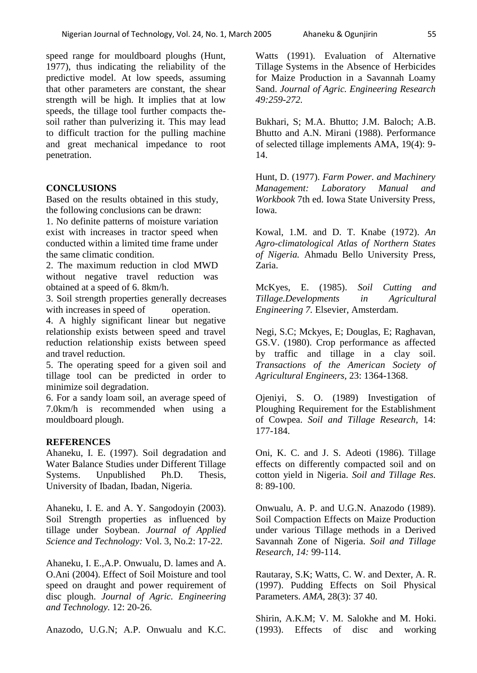speed range for mouldboard ploughs (Hunt, 1977), thus indicating the reliability of the predictive model. At low speeds, assuming that other parameters are constant, the shear strength will be high. It implies that at low speeds, the tillage tool further compacts thesoil rather than pulverizing it. This may lead to difficult traction for the pulling machine and great mechanical impedance to root penetration.

#### **CONCLUSIONS**

Based on the results obtained in this study, the following conclusions can be drawn:

1. No definite patterns of moisture variation exist with increases in tractor speed when conducted within a limited time frame under the same climatic condition.

2. The maximum reduction in clod MWD without negative travel reduction was obtained at a speed of 6. 8km/h.

3. Soil strength properties generally decreases with increases in speed of operation.

4. A highly significant linear but negative relationship exists between speed and travel reduction relationship exists between speed and travel reduction.

5. The operating speed for a given soil and tillage tool can be predicted in order to minimize soil degradation.

6. For a sandy loam soil, an average speed of 7.0km/h is recommended when using a mouldboard plough.

#### **REFERENCES**

Ahaneku, I. E. (1997). Soil degradation and Water Balance Studies under Different Tillage Systems. Unpublished Ph.D. Thesis, University of Ibadan, Ibadan, Nigeria.

Ahaneku, I. E. and A. Y. Sangodoyin (2003). Soil Strength properties as influenced by tillage under Soybean. *Journal of Applied Science and Technology:* Vol. 3, No.2: 17-22.

Ahaneku, I. E.,A.P. Onwualu, D. lames and A. O.Ani (2004). Effect of Soil Moisture and tool speed on draught and power requirement of disc plough. *Journal of Agric. Engineering and Technology.* 12: 20-26.

Anazodo, U.G.N; A.P. Onwualu and K.C.

Watts (1991). Evaluation of Alternative Tillage Systems in the Absence of Herbicides for Maize Production in a Savannah Loamy Sand. *Journal of Agric. Engineering Research 49:259-272.* 

Bukhari, S; M.A. Bhutto; J.M. Baloch; A.B. Bhutto and A.N. Mirani (1988). Performance of selected tillage implements AMA, 19(4): 9- 14.

Hunt, D. (1977). *Farm Power. and Machinery Management: Laboratory Manual and Workbook* 7th ed. Iowa State University Press, Iowa.

Kowal, 1.M. and D. T. Knabe (1972). *An Agro-climatological Atlas of Northern States of Nigeria.* Ahmadu Bello University Press, Zaria.

McKyes, E. (1985). *Soil Cutting and Tillage.Developments in Agricultural Engineering 7.* Elsevier, Amsterdam.

Negi, S.C; Mckyes, E; Douglas, E; Raghavan, GS.V. (1980). Crop performance as affected by traffic and tillage in a clay soil. *Transactions of the American Society of Agricultural Engineers,* 23: 1364-1368.

Ojeniyi, S. O. (1989) Investigation of Ploughing Requirement for the Establishment of Cowpea. *Soil and Tillage Research,* 14: 177-184.

Oni, K. C. and J. S. Adeoti (1986). Tillage effects on differently compacted soil and on cotton yield in Nigeria. *Soil and Tillage Res.*  8: 89-100.

Onwualu, A. P. and U.G.N. Anazodo (1989). Soil Compaction Effects on Maize Production under various Tillage methods in a Derived Savannah Zone of Nigeria. *Soil and Tillage Research, 14:* 99-114.

Rautaray, S.K; Watts, C. W. and Dexter, A. R. (1997). Pudding Effects on Soil Physical Parameters. *AMA,* 28(3): 37 40.

Shirin, A.K.M; V. M. Salokhe and M. Hoki. (1993). Effects of disc and working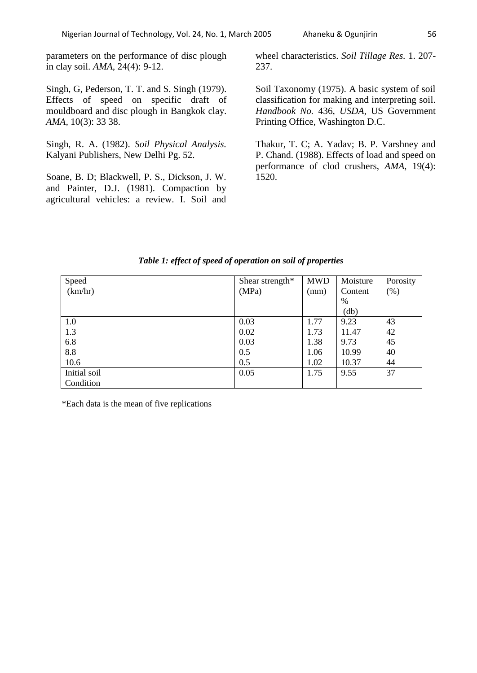parameters on the performance of disc plough in clay soil. *AMA,* 24(4): 9-12.

Singh, G, Pederson, T. T. and S. Singh (1979). Effects of speed on specific draft of mouldboard and disc plough in Bangkok clay. *AMA,* 10(3): 33 38.

Singh, R. A. (1982). *Soil Physical Analysis.*  Kalyani Publishers, New Delhi Pg. 52.

Soane, B. D; Blackwell, P. S., Dickson, J. W. and Painter, D.J. (1981). Compaction by agricultural vehicles: a review. I. Soil and wheel characteristics. *Soil Tillage Res.* 1. 207- 237.

Soil Taxonomy (1975). A basic system of soil classification for making and interpreting soil. *Handbook No.* 436, *USDA,* US Government Printing Office, Washington D.C.

Thakur, T. C; A. Yadav; B. P. Varshney and P. Chand. (1988). Effects of load and speed on performance of clod crushers, *AMA,* 19(4): 1520.

| Speed        | Shear strength* | <b>MWD</b> | Moisture | Porosity |
|--------------|-----------------|------------|----------|----------|
| (km/hr)      | (MPa)           | (mm)       | Content  | $(\%)$   |
|              |                 |            | %        |          |
|              |                 |            | (db)     |          |
| 1.0          | 0.03            | 1.77       | 9.23     | 43       |
| 1.3          | 0.02            | 1.73       | 11.47    | 42       |
| 6.8          | 0.03            | 1.38       | 9.73     | 45       |
| 8.8          | 0.5             | 1.06       | 10.99    | 40       |
| 10.6         | 0.5             | 1.02       | 10.37    | 44       |
| Initial soil | 0.05            | 1.75       | 9.55     | 37       |
| Condition    |                 |            |          |          |

#### *Table 1: effect of speed of operation on soil of properties*

\*Each data is the mean of five replications